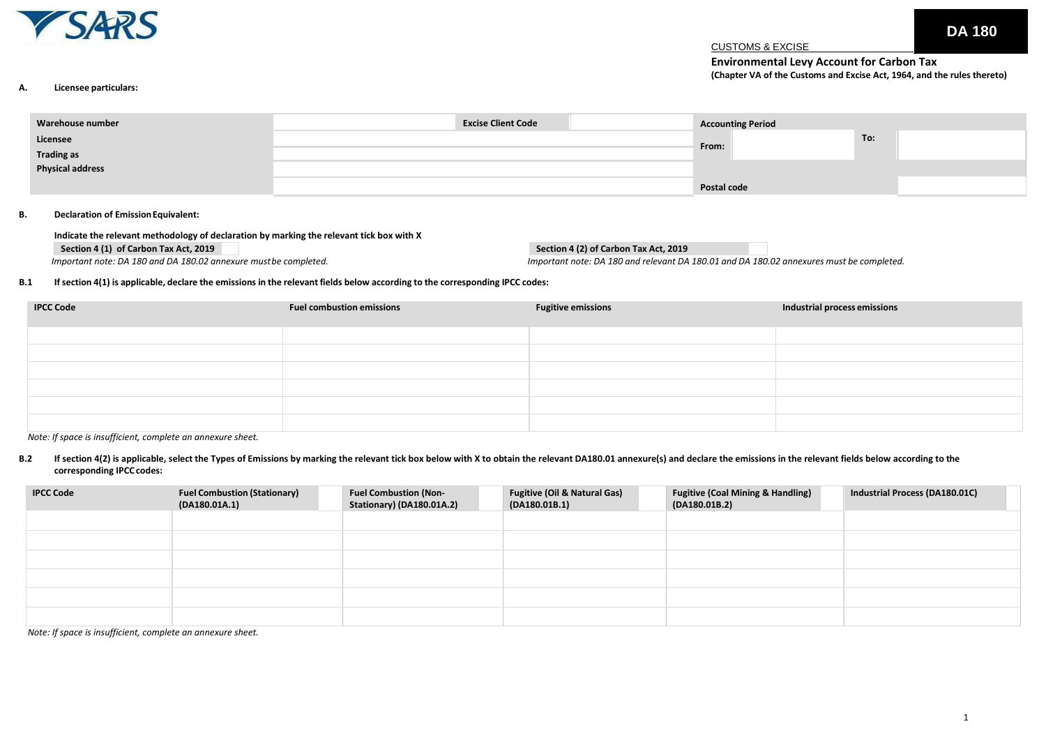

**Environmental Levy Account for Carbon Tax (Chapter VA of the Customs and Excise Act, 1964, and the rules thereto)**

#### **A. Licensee particulars:**

| Warehouse number               | <b>Excise Client Code</b> | <b>Accounting Period</b> |  |
|--------------------------------|---------------------------|--------------------------|--|
| Licensee                       |                           | To:<br>From:             |  |
|                                |                           |                          |  |
| Trading as<br>Physical address |                           |                          |  |
|                                |                           | Postal code              |  |

**B. Declaration of EmissionEquivalent:**

**Indicate the relevant methodology of declaration by marking the relevant tick box with X Section 4 (1) of Carbon Tax Act, 2019**

**Section 4 (2) of Carbon Tax Act, 2019**

Important note: DA 180.01 and DA 180.02 annexure must be completed. The completed of the completed.

#### B.1 If section 4(1) is applicable, declare the emissions in the relevant fields below according to the corresponding IPCC codes:

| <b>IPCC Code</b> | <b>Fuel combustion emissions</b> | <b>Fugitive emissions</b> | Industrial process emissions |
|------------------|----------------------------------|---------------------------|------------------------------|
|                  |                                  |                           |                              |
|                  |                                  |                           |                              |
|                  |                                  |                           |                              |
|                  |                                  |                           |                              |
|                  |                                  |                           |                              |
|                  |                                  |                           |                              |

*Note: If space is insufficient, complete an annexure sheet.*

B.2 If section 4(2) is applicable, select the Types of Emissions by marking the relevant tick box below with X to obtain the relevant DA180.01 annexure(s) and declare the emissions in the relevant fields below according to **corresponding IPCC codes:**

| <b>IPCC Code</b> | <b>Fuel Combustion (Stationary)</b><br>(DA180.01A.1) | <b>Fuel Combustion (Non-</b><br>Stationary) (DA180.01A.2) | <b>Fugitive (Oil &amp; Natural Gas)</b><br>(DA180.01B.1) | <b>Fugitive (Coal Mining &amp; Handling)</b><br>(DA180.01B.2) | Industrial Process (DA180.01C) |
|------------------|------------------------------------------------------|-----------------------------------------------------------|----------------------------------------------------------|---------------------------------------------------------------|--------------------------------|
|                  |                                                      |                                                           |                                                          |                                                               |                                |
|                  |                                                      |                                                           |                                                          |                                                               |                                |
|                  |                                                      |                                                           |                                                          |                                                               |                                |
|                  |                                                      |                                                           |                                                          |                                                               |                                |
|                  |                                                      |                                                           |                                                          |                                                               |                                |
|                  |                                                      |                                                           |                                                          |                                                               |                                |

*Note: If space is insufficient, complete an annexure sheet.*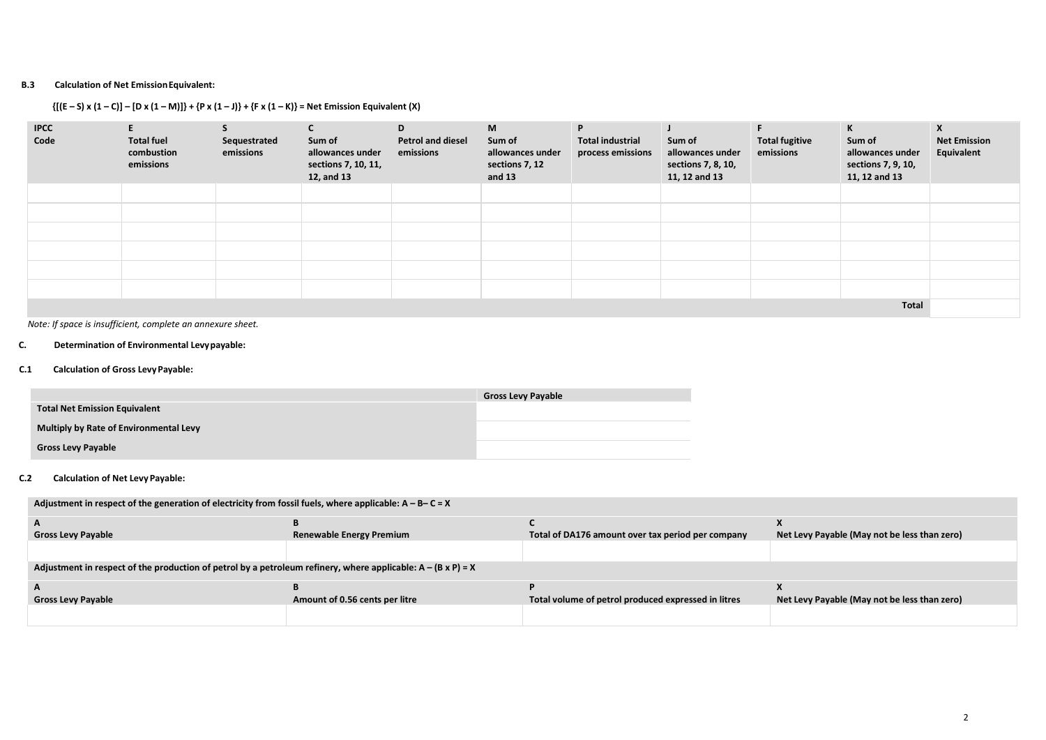#### **B.3 Calculation of Net EmissionEquivalent:**

**{[(E – S) x (1 – C)] – [D x (1 – M)]} + {P x (1 – J)} + {F x (1 – K)} = Net Emission Equivalent (X)**

| <b>IPCC</b><br>Code | <b>Total fuel</b><br>combustion<br>emissions | Sequestrated<br>emissions | Sum of<br>allowances under<br>sections 7, 10, 11,<br>12, and 13 | D<br><b>Petrol and diesel</b><br>emissions | M<br>Sum of<br>allowances under<br>sections 7, 12<br>and $13$ | P<br><b>Total industrial</b><br>process emissions | Sum of<br>allowances under<br>sections 7, 8, 10,<br>11, 12 and 13 | F<br><b>Total fugitive</b><br>emissions | K<br>Sum of<br>allowances under<br>sections 7, 9, 10,<br>11, 12 and 13 | X<br><b>Net Emission</b><br>Equivalent |
|---------------------|----------------------------------------------|---------------------------|-----------------------------------------------------------------|--------------------------------------------|---------------------------------------------------------------|---------------------------------------------------|-------------------------------------------------------------------|-----------------------------------------|------------------------------------------------------------------------|----------------------------------------|
|                     |                                              |                           |                                                                 |                                            |                                                               |                                                   |                                                                   |                                         |                                                                        |                                        |
|                     |                                              |                           |                                                                 |                                            |                                                               |                                                   |                                                                   |                                         |                                                                        |                                        |
|                     |                                              |                           |                                                                 |                                            |                                                               |                                                   |                                                                   |                                         |                                                                        |                                        |
|                     |                                              |                           |                                                                 |                                            |                                                               |                                                   |                                                                   |                                         |                                                                        |                                        |
|                     |                                              |                           |                                                                 |                                            |                                                               |                                                   |                                                                   |                                         |                                                                        |                                        |
|                     |                                              |                           |                                                                 |                                            |                                                               |                                                   |                                                                   |                                         |                                                                        |                                        |
|                     |                                              |                           |                                                                 |                                            |                                                               |                                                   |                                                                   |                                         | <b>Total</b>                                                           |                                        |

*Note: If space is insufficient, complete an annexure sheet.*

#### **C. Determination of Environmental Levypayable:**

### **C.1 Calculation of Gross LevyPayable:**

|                                        | <b>Gross Levy Payable</b> |
|----------------------------------------|---------------------------|
| <b>Total Net Emission Equivalent</b>   |                           |
| Multiply by Rate of Environmental Levy |                           |
| <b>Gross Levy Payable</b>              |                           |

#### **C.2 Calculation of Net Levy Payable:**

| Adjustment in respect of the generation of electricity from fossil fuels, where applicable: $A - B - C = X$         |                                 |                                                     |                                              |  |  |
|---------------------------------------------------------------------------------------------------------------------|---------------------------------|-----------------------------------------------------|----------------------------------------------|--|--|
| <b>Gross Levy Payable</b>                                                                                           | <b>Renewable Energy Premium</b> | Total of DA176 amount over tax period per company   | Net Levy Payable (May not be less than zero) |  |  |
|                                                                                                                     |                                 |                                                     |                                              |  |  |
| Adjustment in respect of the production of petrol by a petroleum refinery, where applicable: $A - (B \times P) = X$ |                                 |                                                     |                                              |  |  |
|                                                                                                                     |                                 |                                                     |                                              |  |  |
| <b>Gross Levy Payable</b>                                                                                           | Amount of 0.56 cents per litre  | Total volume of petrol produced expressed in litres | Net Levy Payable (May not be less than zero) |  |  |
|                                                                                                                     |                                 |                                                     |                                              |  |  |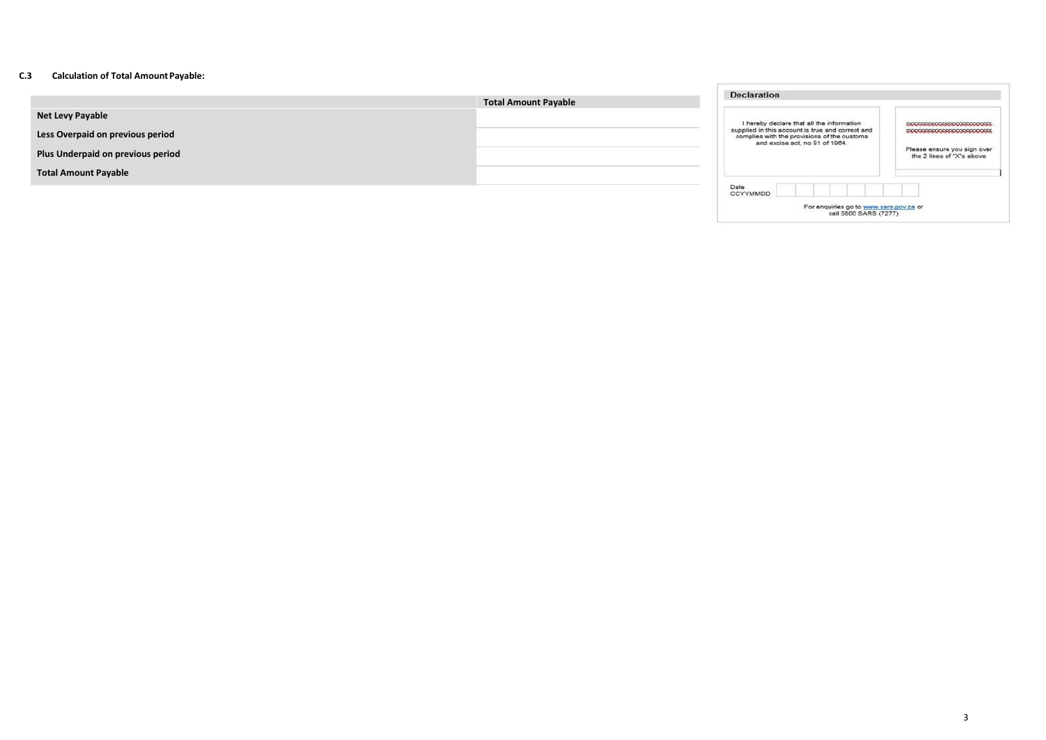### **C.3 Calculation of Total AmountPayable:**

|                                   | <b>Total Amount Payable</b> | <b>Declaration</b>                                                                                                                |                                                          |
|-----------------------------------|-----------------------------|-----------------------------------------------------------------------------------------------------------------------------------|----------------------------------------------------------|
| Net Levy Payable                  |                             | I hereby declare that all the information                                                                                         | 3000000000000000000000000                                |
| Less Overpaid on previous period  |                             | supplied in this account is true and correct and<br>complies with the provisions of the customs<br>and excise act, no 91 of 1964. | 30000000000000000000000000                               |
| Plus Underpaid on previous period |                             |                                                                                                                                   | Please ensure you sign over<br>the 2 lines of "X"s above |
| <b>Total Amount Payable</b>       |                             |                                                                                                                                   |                                                          |
|                                   |                             | Date<br>CCYYMMDD<br>For enquiries go to www.sars.gov.za or<br>call 0800 SARS (7277)                                               |                                                          |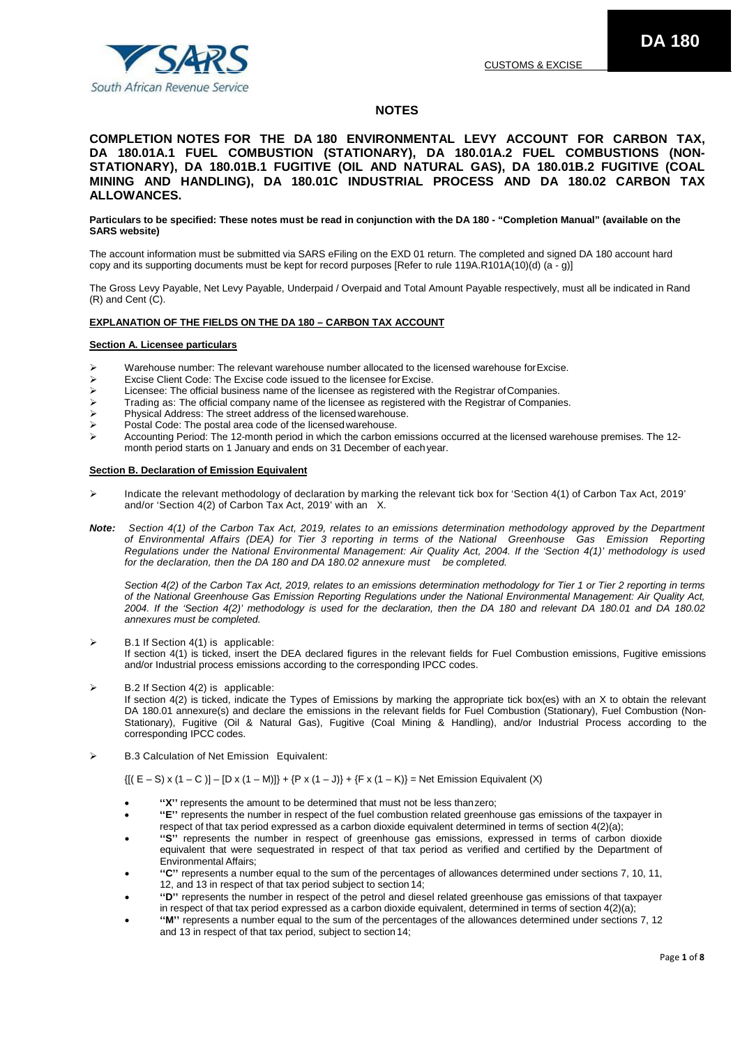### **NOTES**

### **COMPLETION NOTES FOR THE DA 180 ENVIRONMENTAL LEVY ACCOUNT FOR CARBON TAX, DA 180.01A.1 FUEL COMBUSTION (STATIONARY), DA 180.01A.2 FUEL COMBUSTIONS (NON-STATIONARY), DA 180.01B.1 FUGITIVE (OIL AND NATURAL GAS), DA 180.01B.2 FUGITIVE (COAL MINING AND HANDLING), DA 180.01C INDUSTRIAL PROCESS AND DA 180.02 CARBON TAX ALLOWANCES.**

#### **Particulars to be specified: These notes must be read in conjunction with the DA 180 - "Completion Manual" (available on the SARS website)**

The account information must be submitted via SARS eFiling on the EXD 01 return. The completed and signed DA 180 account hard copy and its supporting documents must be kept for record purposes [Refer to rule 119A.R101A(10)(d) (a - g)]

The Gross Levy Payable, Net Levy Payable, Underpaid / Overpaid and Total Amount Payable respectively, must all be indicated in Rand (R) and Cent (C).

### **EXPLANATION OF THE FIELDS ON THE DA 180 – CARBON TAX ACCOUNT**

### **Section A. Licensee particulars**

- Warehouse number: The relevant warehouse number allocated to the licensed warehouse for Excise.<br>
Figure Client Code: The Excise code issued to the licensee for Excise
- Excise Client Code: The Excise code issued to the licensee forExcise.
- Licensee: The official business name of the licensee as registered with the Registrar ofCompanies.
- Trading as: The official company name of the licensee as registered with the Registrar of Companies.
- Physical Address: The street address of the licensed warehouse.
- Postal Code: The postal area code of the licensed warehouse.
- Accounting Period: The 12-month period in which the carbon emissions occurred at the licensed warehouse premises. The 12 month period starts on 1 January and ends on 31 December of eachyear.

#### **Section B. Declaration of Emission Equivalent**

- Indicate the relevant methodology of declaration by marking the relevant tick box for 'Section 4(1) of Carbon Tax Act, 2019' and/or 'Section 4(2) of Carbon Tax Act, 2019' with an X.
- *Note: Section 4(1) of the Carbon Tax Act, 2019, relates to an emissions determination methodology approved by the Department of Environmental Affairs (DEA) for Tier 3 reporting in terms of the National Greenhouse Gas Emission Reporting Regulations under the National Environmental Management: Air Quality Act, 2004. If the 'Section 4(1)' methodology is used for the declaration, then the DA 180 and DA 180.02 annexure must be completed.*

*Section 4(2) of the Carbon Tax Act, 2019, relates to an emissions determination methodology for Tier 1 or Tier 2 reporting in terms of the National Greenhouse Gas Emission Reporting Regulations under the National Environmental Management: Air Quality Act, 2004. If the 'Section 4(2)' methodology is used for the declaration, then the DA 180 and relevant DA 180.01 and DA 180.02 annexures must be completed.*

- $\triangleright$  B.1 If Section 4(1) is applicable: If section 4(1) is ticked, insert the DEA declared figures in the relevant fields for Fuel Combustion emissions, Fugitive emissions and/or Industrial process emissions according to the corresponding IPCC codes.
- B.2 If Section 4(2) is applicable: If section 4(2) is ticked, indicate the Types of Emissions by marking the appropriate tick box(es) with an X to obtain the relevant DA 180.01 annexure(s) and declare the emissions in the relevant fields for Fuel Combustion (Stationary), Fuel Combustion (Non-Stationary), Fugitive (Oil & Natural Gas), Fugitive (Coal Mining & Handling), and/or Industrial Process according to the corresponding IPCC codes.
- B.3 Calculation of Net Emission Equivalent:

 ${([E - S) \times (1 - C) - [D \times (1 - M)] + (P \times (1 - J)) + (F \times (1 - K)) = Net Emission Equivalent (X))}$ 

- "X" represents the amount to be determined that must not be less thanzero;
- **''E''** represents the number in respect of the fuel combustion related greenhouse gas emissions of the taxpayer in respect of that tax period expressed as a carbon dioxide equivalent determined in terms of section 4(2)(a);
- **''S''** represents the number in respect of greenhouse gas emissions, expressed in terms of carbon dioxide equivalent that were sequestrated in respect of that tax period as verified and certified by the Department of Environmental Affairs;
- **''C''** represents a number equal to the sum of the percentages of allowances determined under sections 7, 10, 11, 12, and 13 in respect of that tax period subject to section 14;
- **''D''** represents the number in respect of the petrol and diesel related greenhouse gas emissions of that taxpayer in respect of that tax period expressed as a carbon dioxide equivalent, determined in terms of section 4(2)(a);
- **''M''** represents a number equal to the sum of the percentages of the allowances determined under sections 7, 12 and 13 in respect of that tax period, subject to section 14;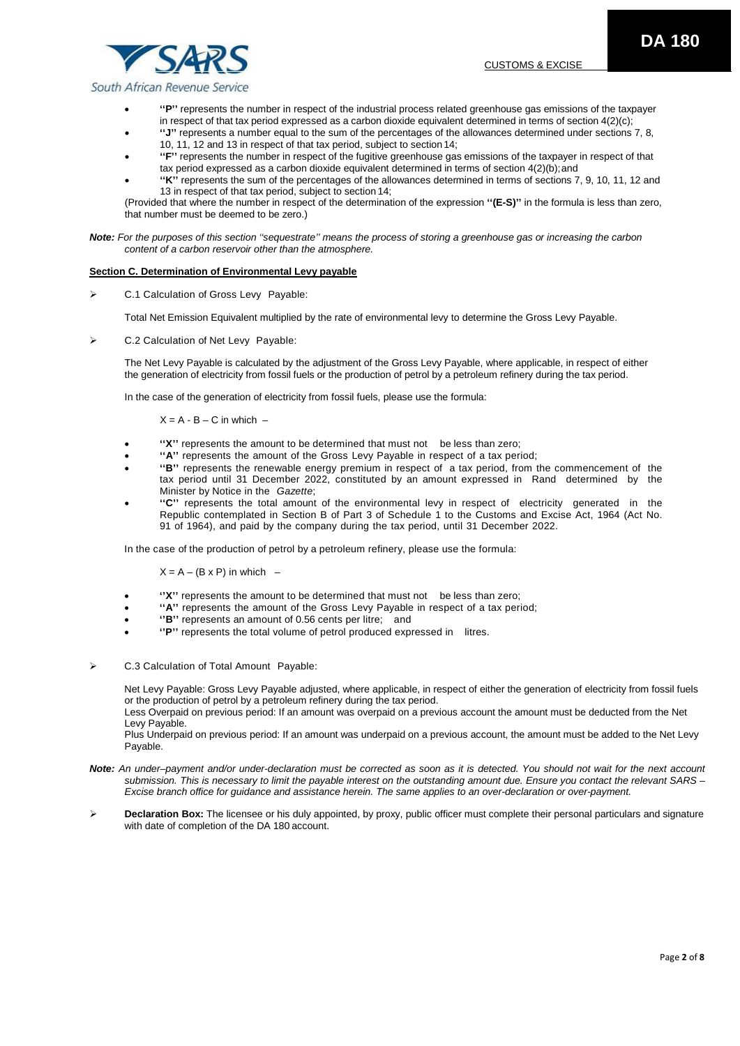

• **''P''** represents the number in respect of the industrial process related greenhouse gas emissions of the taxpayer in respect of that tax period expressed as a carbon dioxide equivalent determined in terms of section 4(2)(c);

- **''J''** represents a number equal to the sum of the percentages of the allowances determined under sections 7, 8, 10, 11, 12 and 13 in respect of that tax period, subject to section14;
- **''F''** represents the number in respect of the fugitive greenhouse gas emissions of the taxpayer in respect of that tax period expressed as a carbon dioxide equivalent determined in terms of section 4(2)(b);and
- **''K''** represents the sum of the percentages of the allowances determined in terms of sections 7, 9, 10, 11, 12 and 13 in respect of that tax period, subject to section 14;

(Provided that where the number in respect of the determination of the expression **''(E-S)''** in the formula is less than zero, that number must be deemed to be zero.)

*Note: For the purposes of this section ''sequestrate'' means the process of storing a greenhouse gas or increasing the carbon content of a carbon reservoir other than the atmosphere.*

### **Section C. Determination of Environmental Levy payable**

C.1 Calculation of Gross Levy Payable:

Total Net Emission Equivalent multiplied by the rate of environmental levy to determine the Gross Levy Payable.

C.2 Calculation of Net Levy Payable:

The Net Levy Payable is calculated by the adjustment of the Gross Levy Payable, where applicable, in respect of either the generation of electricity from fossil fuels or the production of petrol by a petroleum refinery during the tax period.

In the case of the generation of electricity from fossil fuels, please use the formula:

 $X = A - B - C$  in which –

- **''X''** represents the amount to be determined that must not be less than zero;
- **''A''** represents the amount of the Gross Levy Payable in respect of a tax period;
- **''B''** represents the renewable energy premium in respect of a tax period, from the commencement of the tax period until 31 December 2022, constituted by an amount expressed in Rand determined by the Minister by Notice in the *Gazette*;
- **''C''** represents the total amount of the environmental levy in respect of electricity generated in the Republic contemplated in Section B of Part 3 of Schedule 1 to the Customs and Excise Act, 1964 (Act No. 91 of 1964), and paid by the company during the tax period, until 31 December 2022.

In the case of the production of petrol by a petroleum refinery, please use the formula:

 $X = A - (B \times P)$  in which –

- "X" represents the amount to be determined that must not be less than zero;
- **''A''** represents the amount of the Gross Levy Payable in respect of a tax period;
- **''B''** represents an amount of 0.56 cents per litre; and
- **''P''** represents the total volume of petrol produced expressed in litres.
- C.3 Calculation of Total Amount Payable:

Net Levy Payable: Gross Levy Payable adjusted, where applicable, in respect of either the generation of electricity from fossil fuels or the production of petrol by a petroleum refinery during the tax period.

Less Overpaid on previous period: If an amount was overpaid on a previous account the amount must be deducted from the Net Levy Payable.

Plus Underpaid on previous period: If an amount was underpaid on a previous account, the amount must be added to the Net Levy Payable.

- *Note: An under–payment and/or under-declaration must be corrected as soon as it is detected. You should not wait for the next account submission. This is necessary to limit the payable interest on the outstanding amount due. Ensure you contact the relevant SARS – Excise branch office for guidance and assistance herein. The same applies to an over-declaration or over-payment.*
- **Declaration Box:** The licensee or his duly appointed, by proxy, public officer must complete their personal particulars and signature with date of completion of the DA 180 account.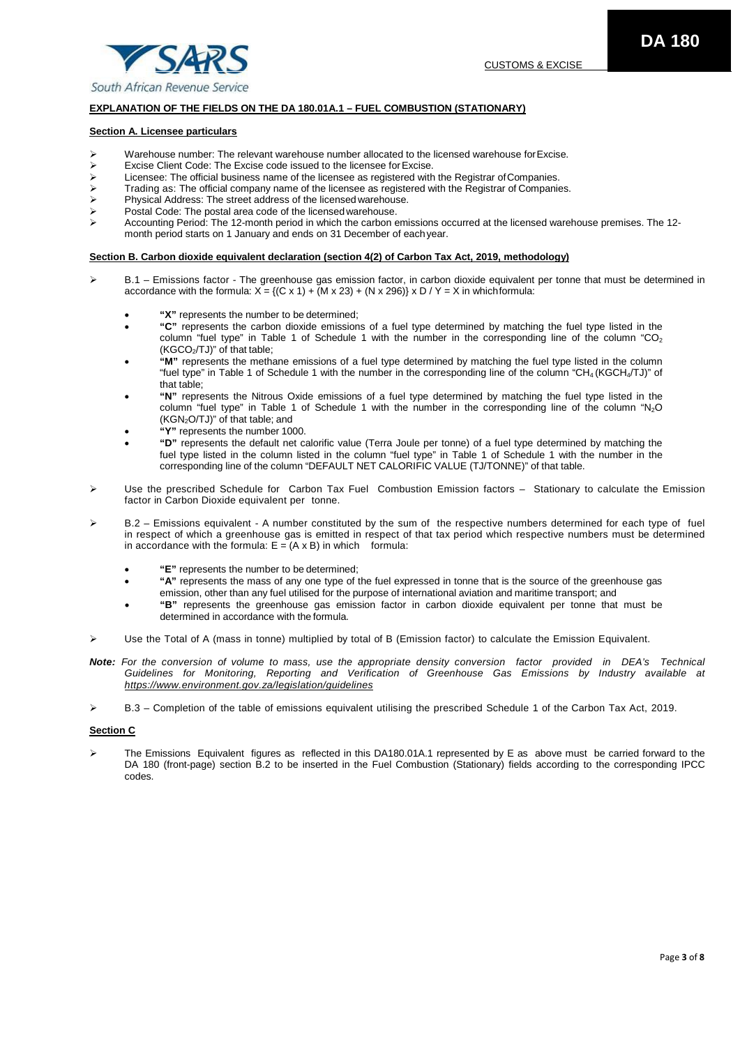

# **EXPLANATION OF THE FIELDS ON THE DA 180.01A.1 – FUEL COMBUSTION (STATIONARY)**

## **Section A. Licensee particulars**

- Excise number: The relevant warehouse number allocated to the licensed warehouse for Excise.<br>
Excise Client Code: The Excise code issued to the licensee for Excise.
- Excise Client Code: The Excise code issued to the licensee for Excise.<br>  $\triangleright$  Licensee: The official business name of the licensee as registered with
- Licensee: The official business name of the licensee as registered with the Registrar of Companies.<br>
Frading as: The official company name of the licensee as registered with the Registrar of Companie
- Trading as: The official company name of the licensee as registered with the Registrar of Companies.
- Physical Address: The street address of the licensed warehouse.
- $\triangleright$  Postal Code: The postal area code of the licensed warehouse.<br>
Accounting Period: The 12-month period in which the carbon e
- Accounting Period: The 12-month period in which the carbon emissions occurred at the licensed warehouse premises. The 12 month period starts on 1 January and ends on 31 December of eachyear.

# **Section B. Carbon dioxide equivalent declaration (section 4(2) of Carbon Tax Act, 2019, methodology)**

- ▶ B.1 Emissions factor The greenhouse gas emission factor, in carbon dioxide equivalent per tonne that must be determined in accordance with the formula:  $X = \{(C \times 1) + (M \times 23) + (N \times 296)\} \times D / Y = X$  in which formula:
	- **"X"** represents the number to be determined;
	- **"C"** represents the carbon dioxide emissions of a fuel type determined by matching the fuel type listed in the column "fuel type" in Table 1 of Schedule 1 with the number in the corresponding line of the column "CO<sub>2</sub> (KGCO<sub>2</sub>/TJ)" of that table:
	- **"M"** represents the methane emissions of a fuel type determined by matching the fuel type listed in the column "fuel type" in Table 1 of Schedule 1 with the number in the corresponding line of the column "CH4 (KGCH4/TJ)" of that table;
	- **"N"** represents the Nitrous Oxide emissions of a fuel type determined by matching the fuel type listed in the column "fuel type" in Table 1 of Schedule 1 with the number in the corresponding line of the column "N2O (KGN2O/TJ)" of that table; and
	- **"Y"** represents the number 1000.
	- **"D"** represents the default net calorific value (Terra Joule per tonne) of a fuel type determined by matching the fuel type listed in the column listed in the column "fuel type" in Table 1 of Schedule 1 with the number in the corresponding line of the column "DEFAULT NET CALORIFIC VALUE (TJ/TONNE)" of that table.
- Use the prescribed Schedule for Carbon Tax Fuel Combustion Emission factors Stationary to calculate the Emission factor in Carbon Dioxide equivalent per tonne.
- B.2 Emissions equivalent A number constituted by the sum of the respective numbers determined for each type of fuel in respect of which a greenhouse gas is emitted in respect of that tax period which respective numbers must be determined in accordance with the formula:  $E = (A \times B)$  in which formula:
	- **"E"** represents the number to be determined;
	- **"A"** represents the mass of any one type of the fuel expressed in tonne that is the source of the greenhouse gas emission, other than any fuel utilised for the purpose of international aviation and maritime transport; and
	- **"B"** represents the greenhouse gas emission factor in carbon dioxide equivalent per tonne that must be determined in accordance with the formula.
- Use the Total of A (mass in tonne) multiplied by total of B (Emission factor) to calculate the Emission Equivalent.
- *Note: For the conversion of volume to mass, use the appropriate density conversion factor provided in DEA's Technical Guidelines for Monitoring, Reporting and Verification of Greenhouse Gas Emissions by Industry available at <https://www.environment.gov.za/legislation/guidelines>*
- $\triangleright$  B.3 Completion of the table of emissions equivalent utilising the prescribed Schedule 1 of the Carbon Tax Act, 2019.

# **Section C**

 $\triangleright$  The Emissions Equivalent figures as reflected in this DA180.01A.1 represented by E as above must be carried forward to the DA 180 (front-page) section B.2 to be inserted in the Fuel Combustion (Stationary) fields according to the corresponding IPCC codes.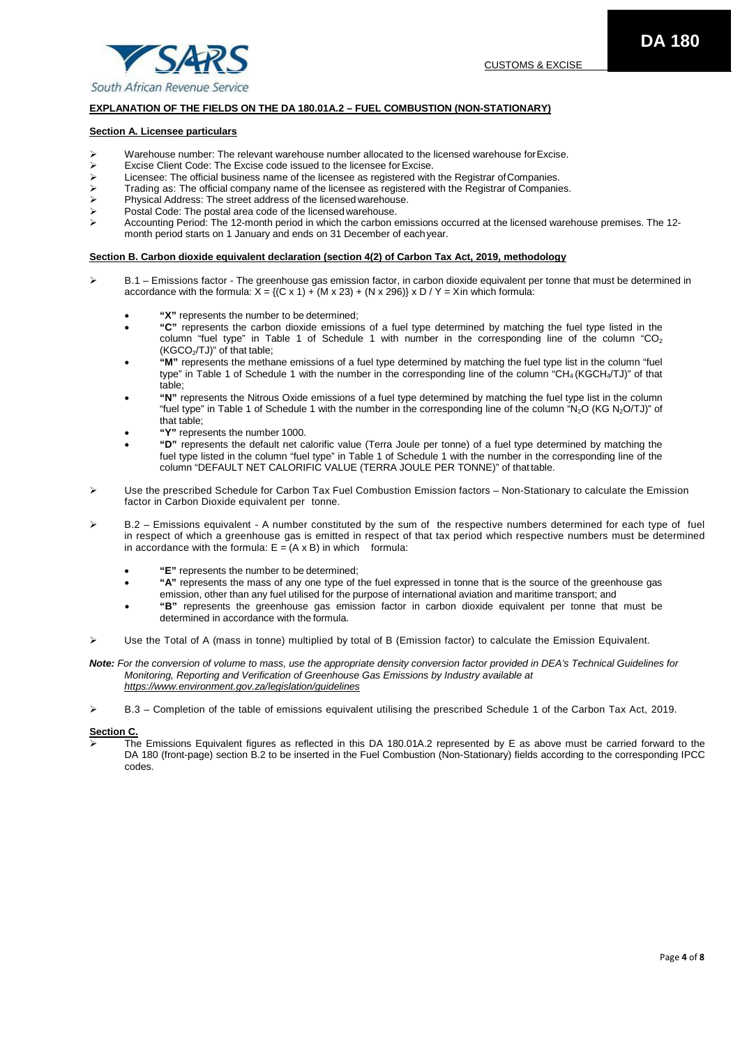

# **EXPLANATION OF THE FIELDS ON THE DA 180.01A.2 – FUEL COMBUSTION (NON-STATIONARY)**

## **Section A. Licensee particulars**

- Excise number: The relevant warehouse number allocated to the licensed warehouse for Excise.<br>
Excise Client Code: The Excise code issued to the licensee for Excise.
- Excise Client Code: The Excise code issued to the licensee for Excise.<br>  $\triangleright$  Licensee: The official business name of the licensee as registered with
- Licensee: The official business name of the licensee as registered with the Registrar of Companies.<br>
In Trading as: The official company name of the licensee as registered with the Registrar of Companies
- Trading as: The official company name of the licensee as registered with the Registrar of Companies.
- Physical Address: The street address of the licensed warehouse.
- $\triangleright$  Postal Code: The postal area code of the licensed warehouse.<br>
Accounting Period: The 12-month period in which the carbon e
- Accounting Period: The 12-month period in which the carbon emissions occurred at the licensed warehouse premises. The 12 month period starts on 1 January and ends on 31 December of eachyear.

## **Section B. Carbon dioxide equivalent declaration (section 4(2) of Carbon Tax Act, 2019, methodology**

- B.1 Emissions factor The greenhouse gas emission factor, in carbon dioxide equivalent per tonne that must be determined in accordance with the formula:  $\bar{X} = \{(C \times 1) + (M \times 23) + (N \times 296)\} \times D / Y = X$  in which formula:
	- **"X"** represents the number to be determined;
	- **"C"** represents the carbon dioxide emissions of a fuel type determined by matching the fuel type listed in the column "fuel type" in Table 1 of Schedule 1 with number in the corresponding line of the column "CO<sub>2</sub> (KGCO2/TJ)" of that table;
	- **"M"** represents the methane emissions of a fuel type determined by matching the fuel type list in the column "fuel type" in Table 1 of Schedule 1 with the number in the corresponding line of the column "CH4 (KGCH4/TJ)" of that table;
	- **"N"** represents the Nitrous Oxide emissions of a fuel type determined by matching the fuel type list in the column "fuel type" in Table 1 of Schedule 1 with the number in the corresponding line of the column "N<sub>2</sub>O (KG N<sub>2</sub>O/TJ)" of that table;
	- **"Y"** represents the number 1000.
	- **"D"** represents the default net calorific value (Terra Joule per tonne) of a fuel type determined by matching the fuel type listed in the column "fuel type" in Table 1 of Schedule 1 with the number in the corresponding line of the column "DEFAULT NET CALORIFIC VALUE (TERRA JOULE PER TONNE)" of thattable.
- Use the prescribed Schedule for Carbon Tax Fuel Combustion Emission factors Non-Stationary to calculate the Emission factor in Carbon Dioxide equivalent per tonne.
- B.2 Emissions equivalent A number constituted by the sum of the respective numbers determined for each type of fuel in respect of which a greenhouse gas is emitted in respect of that tax period which respective numbers must be determined in accordance with the formula:  $E = (A \times B)$  in which formula:
	- **"E"** represents the number to be determined;
	- **"A"** represents the mass of any one type of the fuel expressed in tonne that is the source of the greenhouse gas emission, other than any fuel utilised for the purpose of international aviation and maritime transport; and
	- **"B"** represents the greenhouse gas emission factor in carbon dioxide equivalent per tonne that must be determined in accordance with the formula.
- Use the Total of A (mass in tonne) multiplied by total of B (Emission factor) to calculate the Emission Equivalent.
- *Note: For the conversion of volume to mass, use the appropriate density conversion factor provided in DEA's Technical Guidelines for Monitoring, Reporting and Verification of Greenhouse Gas Emissions by Industry available at <https://www.environment.gov.za/legislation/guidelines>*
- B.3 Completion of the table of emissions equivalent utilising the prescribed Schedule 1 of the Carbon Tax Act, 2019.

## **Section C.**

 The Emissions Equivalent figures as reflected in this DA 180.01A.2 represented by E as above must be carried forward to the DA 180 (front-page) section B.2 to be inserted in the Fuel Combustion (Non-Stationary) fields according to the corresponding IPCC codes.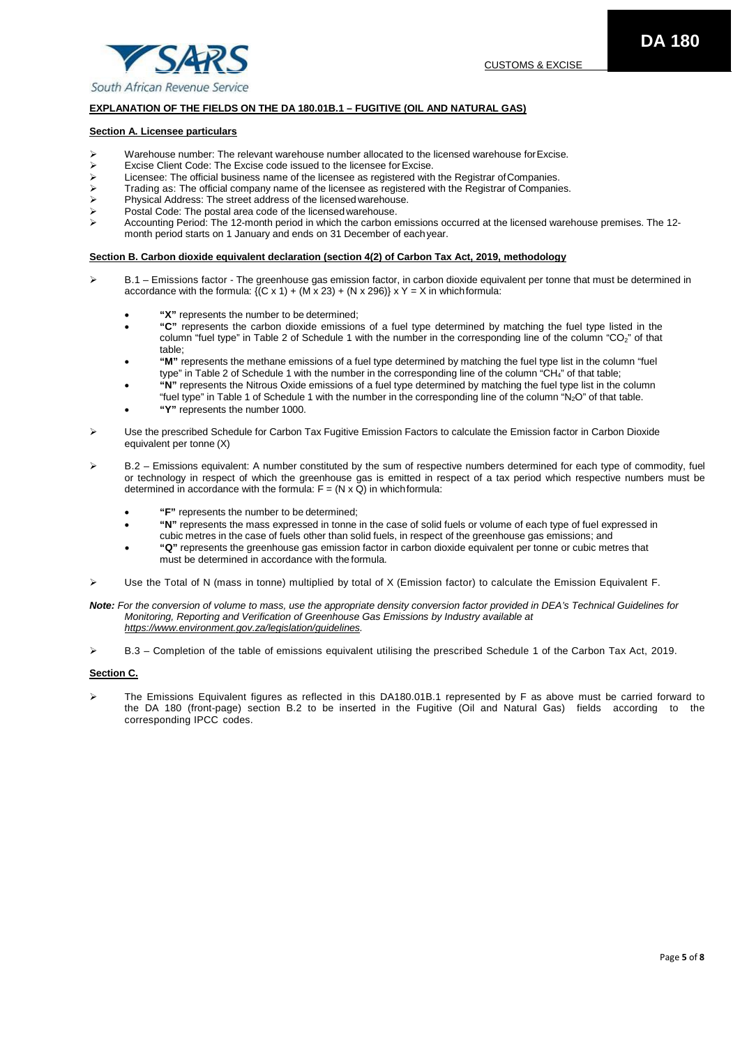

# **EXPLANATION OF THE FIELDS ON THE DA 180.01B.1 – FUGITIVE (OIL AND NATURAL GAS)**

## **Section A. Licensee particulars**

- Excise number: The relevant warehouse number allocated to the licensed warehouse for Excise.<br>
Excise Client Code: The Excise code issued to the licensee for Excise.
- Excise Client Code: The Excise code issued to the licensee for Excise.<br>  $\triangleright$  Licensee: The official business name of the licensee as registered with
- Licensee: The official business name of the licensee as registered with the Registrar of Companies.<br>
I Trading as: The official company name of the licensee as registered with the Registrar of Companie
- Trading as: The official company name of the licensee as registered with the Registrar of Companies.
- Physical Address: The street address of the licensed warehouse.
- Postal Code: The postal area code of the licensed warehouse.
- Accounting Period: The 12-month period in which the carbon emissions occurred at the licensed warehouse premises. The 12 month period starts on 1 January and ends on 31 December of eachyear.

## **Section B. Carbon dioxide equivalent declaration (section 4(2) of Carbon Tax Act, 2019, methodology**

- ▶ B.1 Emissions factor The greenhouse gas emission factor, in carbon dioxide equivalent per tonne that must be determined in accordance with the formula:  $\{ (C \times 1) + (M \times 23) + (N \times 296) \} \times Y = X$  in which formula:
	- **"X"** represents the number to be determined;
	- **"C"** represents the carbon dioxide emissions of a fuel type determined by matching the fuel type listed in the column "fuel type" in Table 2 of Schedule 1 with the number in the corresponding line of the column "CO<sub>2</sub>" of that table;
	- **"M"** represents the methane emissions of a fuel type determined by matching the fuel type list in the column "fuel type" in Table 2 of Schedule 1 with the number in the corresponding line of the column "CH4" of that table;
	- **"N"** represents the Nitrous Oxide emissions of a fuel type determined by matching the fuel type list in the column "fuel type" in Table 1 of Schedule 1 with the number in the corresponding line of the column "N<sub>2</sub>O" of that table.
	- **"Y"** represents the number 1000.
- Use the prescribed Schedule for Carbon Tax Fugitive Emission Factors to calculate the Emission factor in Carbon Dioxide equivalent per tonne (X)
- B.2 Emissions equivalent: A number constituted by the sum of respective numbers determined for each type of commodity, fuel or technology in respect of which the greenhouse gas is emitted in respect of a tax period which respective numbers must be determined in accordance with the formula:  $F = (N \times Q)$  in which formula:
	- **"F"** represents the number to be determined;
	- **"N"** represents the mass expressed in tonne in the case of solid fuels or volume of each type of fuel expressed in cubic metres in the case of fuels other than solid fuels, in respect of the greenhouse gas emissions; and
	- **"Q"** represents the greenhouse gas emission factor in carbon dioxide equivalent per tonne or cubic metres that must be determined in accordance with the formula.
- $\triangleright$  Use the Total of N (mass in tonne) multiplied by total of X (Emission factor) to calculate the Emission Equivalent F.
- *Note: For the conversion of volume to mass, use the appropriate density conversion factor provided in DEA's Technical Guidelines for Monitoring, Reporting and Verification of Greenhouse Gas Emissions by Industry available at [https://www.environment.gov.za/legislation/guidelines.](https://www.environment.gov.za/legislation/guidelines)*
- B.3 Completion of the table of emissions equivalent utilising the prescribed Schedule 1 of the Carbon Tax Act, 2019.

### **Section C.**

 The Emissions Equivalent figures as reflected in this DA180.01B.1 represented by F as above must be carried forward to the DA 180 (front-page) section B.2 to be inserted in the Fugitive (Oil and Natural Gas) fields according to the corresponding IPCC codes.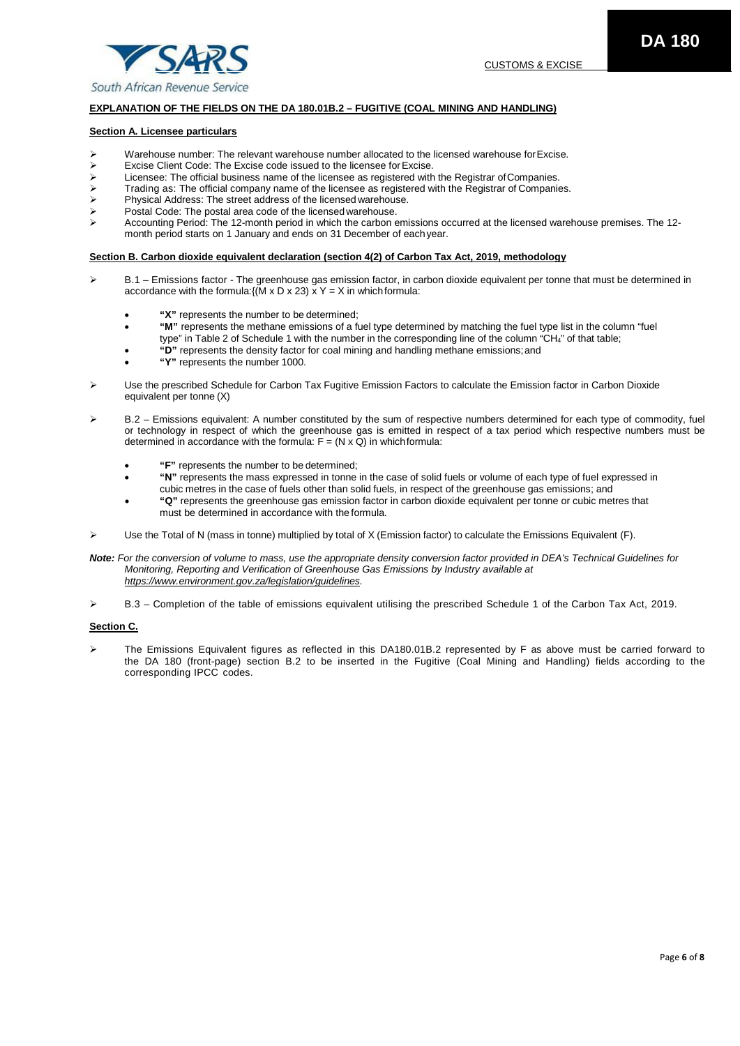

# **EXPLANATION OF THE FIELDS ON THE DA 180.01B.2 – FUGITIVE (COAL MINING AND HANDLING)**

## **Section A. Licensee particulars**

- $\triangleright$  Warehouse number: The relevant warehouse number allocated to the licensed warehouse for Excise.
- Excise Client Code: The Excise code issued to the licensee for Excise.<br>  $\triangleright$  Licensee: The official business name of the licensee as registered with
- Licensee: The official business name of the licensee as registered with the Registrar of Companies.<br>
I Trading as: The official company name of the licensee as registered with the Registrar of Companie
- Trading as: The official company name of the licensee as registered with the Registrar of Companies.
- Physical Address: The street address of the licensed warehouse.
- $\triangleright$  Postal Code: The postal area code of the licensed warehouse.<br>
Accounting Period: The 12-month period in which the carbon e
- Accounting Period: The 12-month period in which the carbon emissions occurred at the licensed warehouse premises. The 12 month period starts on 1 January and ends on 31 December of eachyear.

## **Section B. Carbon dioxide equivalent declaration (section 4(2) of Carbon Tax Act, 2019, methodology**

- B.1 Emissions factor The greenhouse gas emission factor, in carbon dioxide equivalent per tonne that must be determined in accordance with the formula: $\{(\mathbf{M} \times \mathbf{D} \times 23) \times \mathbf{Y} = \mathbf{X} \text{ in which formula: }$ 
	- **"X"** represents the number to be determined;
	- **"M"** represents the methane emissions of a fuel type determined by matching the fuel type list in the column "fuel type" in Table 2 of Schedule 1 with the number in the corresponding line of the column "CH<sub>4</sub>" of that table;
	- **"D"** represents the density factor for coal mining and handling methane emissions;and
	- **"Y"** represents the number 1000.
- Use the prescribed Schedule for Carbon Tax Fugitive Emission Factors to calculate the Emission factor in Carbon Dioxide equivalent per tonne (X)
- $\triangleright$  B.2 Emissions equivalent: A number constituted by the sum of respective numbers determined for each type of commodity, fuel or technology in respect of which the greenhouse gas is emitted in respect of a tax period which respective numbers must be determined in accordance with the formula:  $F = (N \times Q)$  in which formula:
	- **"F"** represents the number to be determined;
	- **"N"** represents the mass expressed in tonne in the case of solid fuels or volume of each type of fuel expressed in cubic metres in the case of fuels other than solid fuels, in respect of the greenhouse gas emissions; and
	- **"Q"** represents the greenhouse gas emission factor in carbon dioxide equivalent per tonne or cubic metres that must be determined in accordance with the formula.
- $\triangleright$  Use the Total of N (mass in tonne) multiplied by total of X (Emission factor) to calculate the Emissions Equivalent (F).
- *Note: For the conversion of volume to mass, use the appropriate density conversion factor provided in DEA's Technical Guidelines for Monitoring, Reporting and Verification of Greenhouse Gas Emissions by Industry available at [https://www.environment.gov.za/legislation/guidelines.](https://www.environment.gov.za/legislation/guidelines)*
- B.3 Completion of the table of emissions equivalent utilising the prescribed Schedule 1 of the Carbon Tax Act, 2019.

# **Section C.**

 $\triangleright$  The Emissions Equivalent figures as reflected in this DA180.01B.2 represented by F as above must be carried forward to the DA 180 (front-page) section B.2 to be inserted in the Fugitive (Coal Mining and Handling) fields according to the corresponding IPCC codes.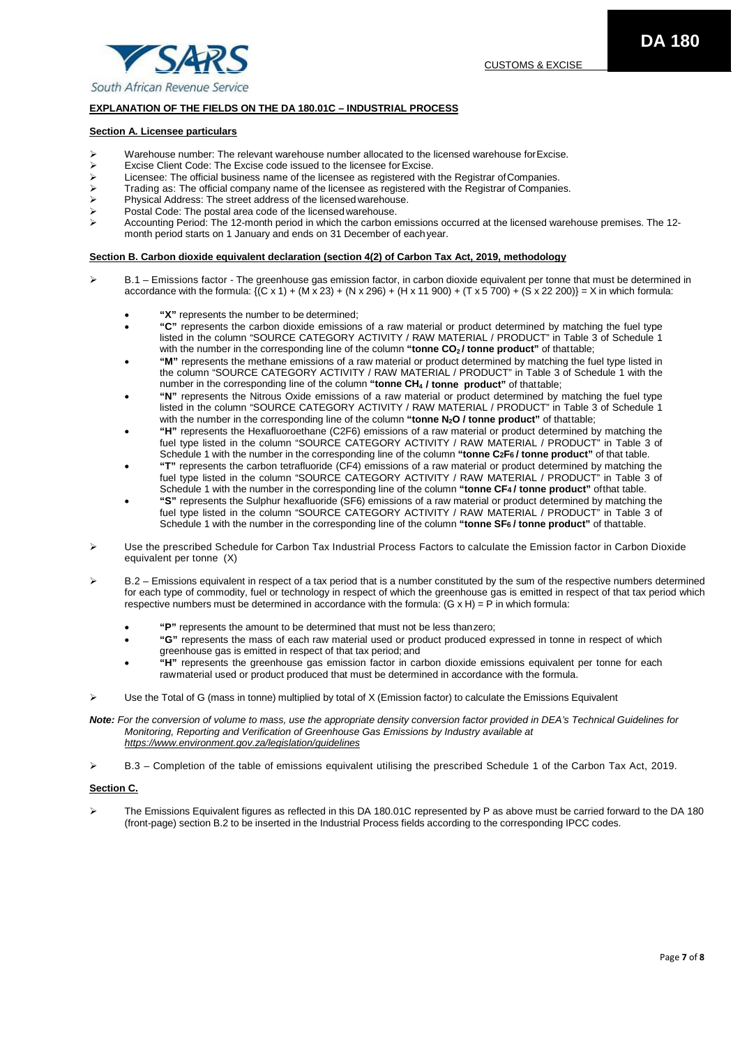# **EXPLANATION OF THE FIELDS ON THE DA 180.01C – INDUSTRIAL PROCESS**

### **Section A. Licensee particulars**

- $\triangleright$  Warehouse number: The relevant warehouse number allocated to the licensed warehouse for Excise.
- Excise Client Code: The Excise code issued to the licensee for Excise.<br>  $\triangleright$  Licensee: The official business name of the licensee as registered with
- Licensee: The official business name of the licensee as registered with the Registrar of Companies.<br>
I Trading as: The official company name of the licensee as registered with the Registrar of Companie
- Trading as: The official company name of the licensee as registered with the Registrar of Companies.
- Physical Address: The street address of the licensed warehouse.
- Postal Code: The postal area code of the licensed warehouse.
- Accounting Period: The 12-month period in which the carbon emissions occurred at the licensed warehouse premises. The 12 month period starts on 1 January and ends on 31 December of eachyear.

#### **Section B. Carbon dioxide equivalent declaration (section 4(2) of Carbon Tax Act, 2019, methodology**

- ▶ B.1 Emissions factor The greenhouse gas emission factor, in carbon dioxide equivalent per tonne that must be determined in accordance with the formula:  ${ (C \times 1) + (M \times 23) + (N \times 296) + (H \times 11900) + (T \times 5700) + (S \times 22200)} = X$  in which formula:
	- **"X"** represents the number to be determined;
	- **"C"** represents the carbon dioxide emissions of a raw material or product determined by matching the fuel type listed in the column "SOURCE CATEGORY ACTIVITY / RAW MATERIAL / PRODUCT" in Table 3 of Schedule 1 with the number in the corresponding line of the column "tonne CO<sub>2</sub> / tonne product" of thattable;
	- **"M"** represents the methane emissions of a raw material or product determined by matching the fuel type listed in the column "SOURCE CATEGORY ACTIVITY / RAW MATERIAL / PRODUCT" in Table 3 of Schedule 1 with the number in the corresponding line of the column **"tonne CH4 / tonne product"** of thattable;
	- **"N"** represents the Nitrous Oxide emissions of a raw material or product determined by matching the fuel type listed in the column "SOURCE CATEGORY ACTIVITY / RAW MATERIAL / PRODUCT" in Table 3 of Schedule 1 with the number in the corresponding line of the column "tonne N<sub>2</sub>O / tonne product" of thattable;
	- **"H"** represents the Hexafluoroethane (C2F6) emissions of a raw material or product determined by matching the fuel type listed in the column "SOURCE CATEGORY ACTIVITY / RAW MATERIAL / PRODUCT" in Table 3 of Schedule 1 with the number in the corresponding line of the column **"tonne C2F6 / tonne product"** of that table.
	- **"T"** represents the carbon tetrafluoride (CF4) emissions of a raw material or product determined by matching the fuel type listed in the column "SOURCE CATEGORY ACTIVITY / RAW MATERIAL / PRODUCT" in Table 3 of Schedule 1 with the number in the corresponding line of the column **"tonne CF4 / tonne product"** ofthat table.
	- **"S"** represents the Sulphur hexafluoride (SF6) emissions of a raw material or product determined by matching the fuel type listed in the column "SOURCE CATEGORY ACTIVITY / RAW MATERIAL / PRODUCT" in Table 3 of Schedule 1 with the number in the corresponding line of the column **"tonne SF6 / tonne product"** of thattable.
- Use the prescribed Schedule for Carbon Tax Industrial Process Factors to calculate the Emission factor in Carbon Dioxide equivalent per tonne (X)
- B.2 Emissions equivalent in respect of a tax period that is a number constituted by the sum of the respective numbers determined for each type of commodity, fuel or technology in respect of which the greenhouse gas is emitted in respect of that tax period which respective numbers must be determined in accordance with the formula:  $(G \times H) = P$  in which formula:
	- **"P"** represents the amount to be determined that must not be less thanzero;
	- **"G"** represents the mass of each raw material used or product produced expressed in tonne in respect of which greenhouse gas is emitted in respect of that tax period; and
	- **"H"** represents the greenhouse gas emission factor in carbon dioxide emissions equivalent per tonne for each rawmaterial used or product produced that must be determined in accordance with the formula.
- Use the Total of G (mass in tonne) multiplied by total of X (Emission factor) to calculate the Emissions Equivalent

#### *Note: For the conversion of volume to mass, use the appropriate density conversion factor provided in DEA's Technical Guidelines for Monitoring, Reporting and Verification of Greenhouse Gas Emissions by Industry available at <https://www.environment.gov.za/legislation/guidelines>*

B.3 – Completion of the table of emissions equivalent utilising the prescribed Schedule 1 of the Carbon Tax Act, 2019.

#### **Section C.**

 The Emissions Equivalent figures as reflected in this DA 180.01C represented by P as above must be carried forward to the DA 180 (front-page) section B.2 to be inserted in the Industrial Process fields according to the corresponding IPCC codes.